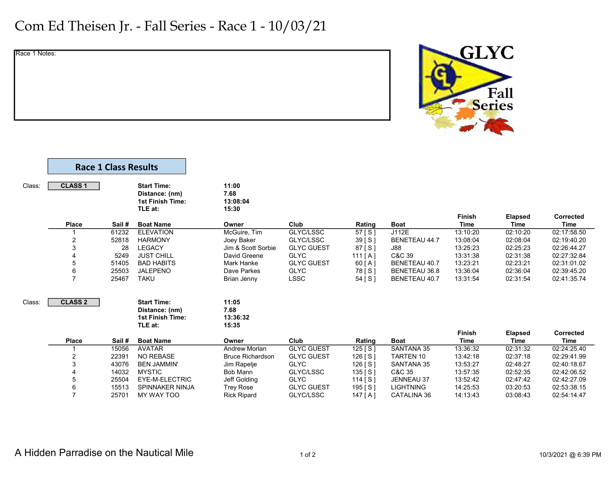## Com Ed Theisen Jr. - Fall Series - Race 1 - 10/03/21

Race 1 Notes:



|        |                | <b>Race 1 Class Results</b> |                                                                            |                                    |                   |           |                      |                              |                               |                                 |
|--------|----------------|-----------------------------|----------------------------------------------------------------------------|------------------------------------|-------------------|-----------|----------------------|------------------------------|-------------------------------|---------------------------------|
| Class: | <b>CLASS 1</b> |                             | <b>Start Time:</b><br>Distance: (nm)<br>1st Finish Time:<br>TLE at:        | 11:00<br>7.68<br>13:08:04<br>15:30 |                   |           |                      |                              |                               |                                 |
|        | Place          | Sail#                       | <b>Boat Name</b>                                                           | Owner                              | Club              | Rating    | <b>Boat</b>          | <b>Finish</b><br><b>Time</b> | <b>Elapsed</b><br><b>Time</b> | <b>Corrected</b><br><b>Time</b> |
|        |                | 61232                       | <b>ELEVATION</b>                                                           | McGuire, Tim                       | GLYC/LSSC         | 57 [S]    | J112E                | 13:10:20                     | 02:10:20                      | 02:17:58.50                     |
|        | 2              | 52818                       | <b>HARMONY</b>                                                             | Joey Baker                         | GLYC/LSSC         | 39 [S]    | <b>BENETEAU 44.7</b> | 13:08:04                     | 02:08:04                      | 02:19:40.20                     |
|        | 3              | 28                          | <b>LEGACY</b>                                                              | Jim & Scott Sorbie                 | <b>GLYC GUEST</b> | $87$ [S]  | <b>J88</b>           | 13:25:23                     | 02:25:23                      | 02:26:44.27                     |
|        |                | 5249                        | <b>JUST CHILL</b>                                                          | David Greene                       | <b>GLYC</b>       | 111[A]    | C&C 39               | 13:31:38                     | 02:31:38                      | 02:27:32.84                     |
|        | 5              | 51405                       | <b>BAD HABITS</b>                                                          | <b>Mark Hanke</b>                  | <b>GLYC GUEST</b> | 60 [ A ]  | <b>BENETEAU 40.7</b> | 13:23:21                     | 02:23:21                      | 02:31:01.02                     |
|        | 6              | 25503                       | <b>JALEPENO</b>                                                            | Dave Parkes                        | <b>GLYC</b>       | 78 [ S ]  | BENETEAU 36.8        | 13:36:04                     | 02:36:04                      | 02:39:45.20                     |
|        | $\overline{7}$ | 25467                       | <b>TAKU</b>                                                                | Brian Jenny                        | <b>LSSC</b>       | 54 [ S ]  | BENETEAU 40.7        | 13:31:54                     | 02:31:54                      | 02:41:35.74                     |
| Class: | <b>CLASS 2</b> |                             | <b>Start Time:</b><br>Distance: (nm)<br><b>1st Finish Time:</b><br>TLE at: | 11:05<br>7.68<br>13:36:32<br>15:35 |                   |           |                      |                              |                               |                                 |
|        | <b>Place</b>   | Sail#                       | <b>Boat Name</b>                                                           | Owner                              | Club              | Rating    | <b>Boat</b>          | <b>Finish</b><br><b>Time</b> | <b>Elapsed</b><br><b>Time</b> | Corrected<br><b>Time</b>        |
|        |                | 15056                       | <b>AVATAR</b>                                                              | <b>Andrew Morlan</b>               | <b>GLYC GUEST</b> | $125$ [S] | <b>SANTANA 35</b>    | 13:36:32                     | 02:31:32                      | 02:24:25.40                     |
|        | 2              | 22391                       | <b>NO REBASE</b>                                                           | <b>Bruce Richardson</b>            | <b>GLYC GUEST</b> | 126 [S]   | <b>TARTEN 10</b>     | 13:42:18                     | 02:37:18                      | 02:29:41.99                     |
|        | 3              | 43076                       | <b>BEN JAMMIN'</b>                                                         | Jim Rapelje                        | <b>GLYC</b>       | 126 [S]   | SANTANA 35           | 13:53:27                     | 02:48:27                      | 02:40:18.67                     |
|        |                | 14032                       | <b>MYSTIC</b>                                                              | Bob Mann                           | GLYC/LSSC         | $135$ [S] | C&C 35               | 13:57:35                     | 02:52:35                      | 02:42:06.52                     |
|        | 5              | 25504                       | EYE-M-ELECTRIC                                                             | Jeff Golding                       | <b>GLYC</b>       | $114$ [S] | <b>JENNEAU 37</b>    | 13:52:42                     | 02:47:42                      | 02:42:27.09                     |
|        | 6              | 15513                       | <b>SPINNAKER NINJA</b>                                                     | <b>Trey Rose</b>                   | <b>GLYC GUEST</b> | 195 [S]   | <b>LIGHTNING</b>     | 14:25:53                     | 03:20:53                      | 02:53:38.15                     |
|        |                |                             |                                                                            |                                    |                   |           |                      |                              |                               |                                 |